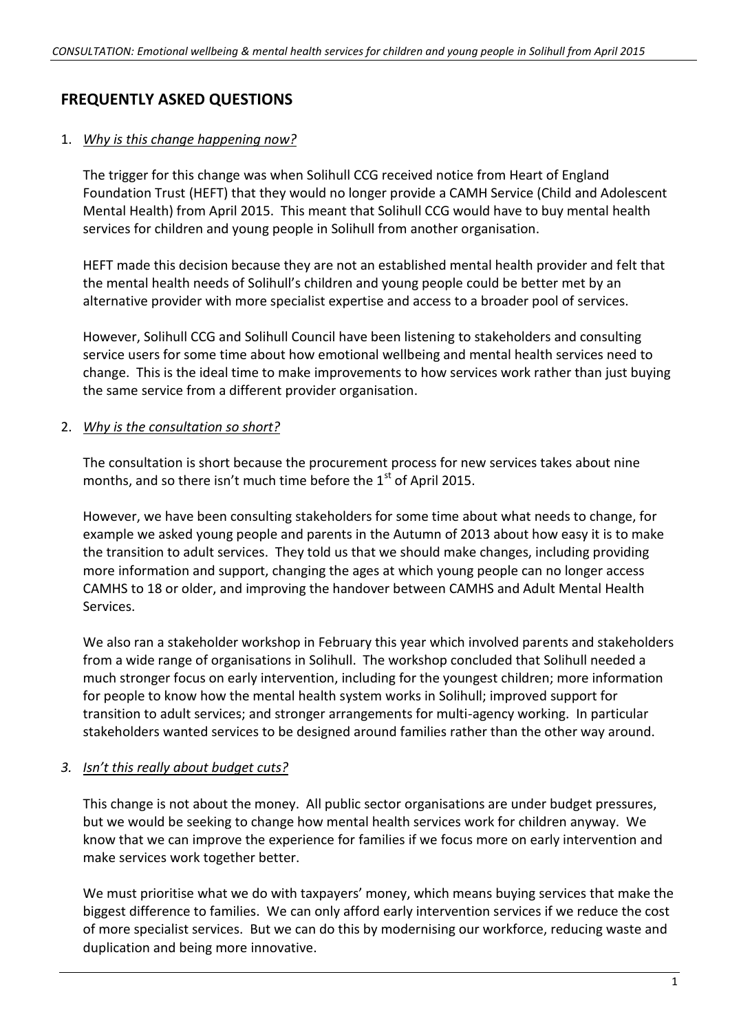# **FREQUENTLY ASKED QUESTIONS**

#### 1. *Why is this change happening now?*

The trigger for this change was when Solihull CCG received notice from Heart of England Foundation Trust (HEFT) that they would no longer provide a CAMH Service (Child and Adolescent Mental Health) from April 2015. This meant that Solihull CCG would have to buy mental health services for children and young people in Solihull from another organisation.

HEFT made this decision because they are not an established mental health provider and felt that the mental health needs of Solihull's children and young people could be better met by an alternative provider with more specialist expertise and access to a broader pool of services.

However, Solihull CCG and Solihull Council have been listening to stakeholders and consulting service users for some time about how emotional wellbeing and mental health services need to change. This is the ideal time to make improvements to how services work rather than just buying the same service from a different provider organisation.

### 2. *Why is the consultation so short?*

The consultation is short because the procurement process for new services takes about nine months, and so there isn't much time before the  $1<sup>st</sup>$  of April 2015.

However, we have been consulting stakeholders for some time about what needs to change, for example we asked young people and parents in the Autumn of 2013 about how easy it is to make the transition to adult services. They told us that we should make changes, including providing more information and support, changing the ages at which young people can no longer access CAMHS to 18 or older, and improving the handover between CAMHS and Adult Mental Health Services.

We also ran a stakeholder workshop in February this year which involved parents and stakeholders from a wide range of organisations in Solihull. The workshop concluded that Solihull needed a much stronger focus on early intervention, including for the youngest children; more information for people to know how the mental health system works in Solihull; improved support for transition to adult services; and stronger arrangements for multi-agency working. In particular stakeholders wanted services to be designed around families rather than the other way around.

## *3. Isn't this really about budget cuts?*

This change is not about the money. All public sector organisations are under budget pressures, but we would be seeking to change how mental health services work for children anyway. We know that we can improve the experience for families if we focus more on early intervention and make services work together better.

We must prioritise what we do with taxpayers' money, which means buying services that make the biggest difference to families. We can only afford early intervention services if we reduce the cost of more specialist services. But we can do this by modernising our workforce, reducing waste and duplication and being more innovative.